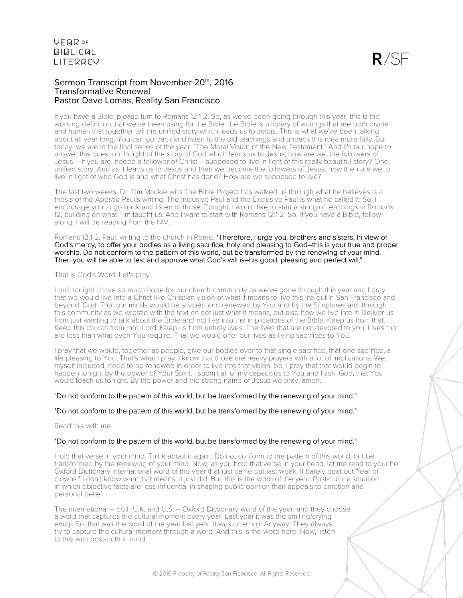### Sermon Transcript from November 20<sup>th</sup>, 2016 Transformative Renewal Pastor Dave Lomas, Reality San Francisco

If you have a Bible, please turn to Romans 12:1-2. So, as we've been going through this year, this is the working definition that we've been using for the Bible: the Bible is a library of writings that are both divine and human that together tell the unified story which leads us to Jesus. This is what we've been talking about all year long. You can go back and listen to the old teachings and unpack this idea more fully. But today, we are in the final series of the year; "The Moral Vision of the New Testament." And it's our hope to answer this question: In light of the story of God which leads us to Jesus, how are we, the followers of Jesus – if you are indeed a follower of Christ – supposed to live in light of this really beautiful story? One, unified story. And as it leads us to Jesus and then we become the followers of Jesus, how then are we to live in light of who God is and what Christ has done? How are we supposed to live?

The last two weeks, Dr. Tim Mackie with The Bible Project has walked us through what he believes is a thesis of the Apostle Paul's writing. The Inclusive Paul and the Exclusive Paul is what he called it. So, I encourage you to go back and listen to those. Tonight, I would like to start a string of teachings in Romans 12, building on what Tim taught us. And I want to start with Romans 12:1-2. So, if you have a Bible, follow along. I will be reading from the NIV.

Romans 12:1-2. Paul, writing to the church in Rome, "Therefore, I urge you, brothers and sisters, in view of God's mercy, to offer your bodies as a living sacrifice, holy and pleasing to God–this is your true and proper worship. Do not conform to the pattern of this world, but be transformed by the renewing of your mind. Then you will be able to test and approve what God's will is–his good, pleasing and perfect will."

#### That is God's Word. Let's pray.

Lord, tonight I have so much hope for our church community as we've gone through this year and I pray that we would live into a Christ-like Christian vision of what it means to live this life out in San Francisco and beyond, God. That our minds would be shaped and renewed by You and by the Scriptures and through this community as we wrestle with the text on not just what it means, but also how we live into it. Deliver us from just wanting to talk about the Bible and not live into the implications of the Bible. Keep us from that. Keep this church from that, Lord. Keep us from unholy lives. The lives that are not devoted to you. Lives that are less than what even You require. That we would offer our lives as living sacrifices to You.

I pray that we would, together as people, give our bodies over to that single sacrifice, that one sacrifice, a life pleasing to You. That's what I pray. I know that those are heavy prayers with a lot of implications. We, myself included, need to be renewed in order to live into that vision. So, I pray that that would begin to happen tonight by the power of Your Spirit. I submit all of my capacities to You and I ask, God, that You would teach us tonight. By the power and the strong name of Jesus we pray, amen.

### "Do not conform to the pattern of this world, but be transformed by the renewing of your mind."

### "Do not conform to the pattern of this world, but be transformed by the renewing of your mind."

Read this with me.

### "Do not conform to the pattern of this world, but be transformed by the renewing of your mind."

Hold that verse in your mind. Think about it again. Do not conform to the pattern of this world, but be transformed by the renewing of your mind. Now, as you hold that verse in your head, let me read to your he Oxford Dictionary international word of the year that just came out last weak. It barely beat out "fear of clowns." I don't know what that means, it just did. But, this is the word of the year: Post-truth: a situation in which objective facts are less influential in shaping public opinion than appeals to emotion and personal belief.

The international – both U.K. and U.S. – Oxford Dictionary word of the year, and they choose a word that captures the cultural moment every year. Last year it was the smiling/crying emoji. So, that was the word of the year last year. It was an emoji. Anyway. They always try to capture the cultural moment through a word. And this is the word here. Now, listen to this with post-truth in mind: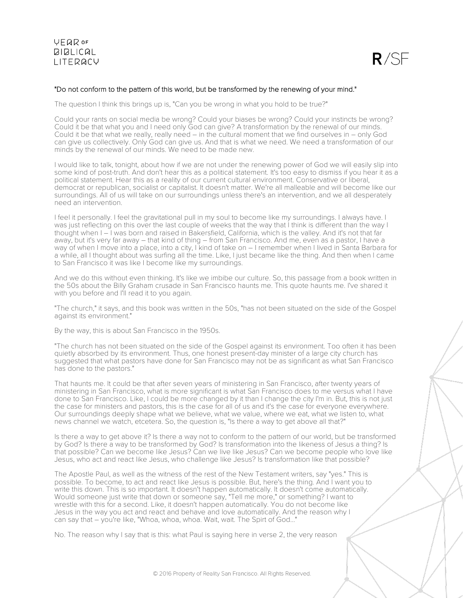

### "Do not conform to the pattern of this world, but be transformed by the renewing of your mind."

The question I think this brings up is, "Can you be wrong in what you hold to be true?"

Could your rants on social media be wrong? Could your biases be wrong? Could your instincts be wrong? Could it be that what you and I need only God can give? A transformation by the renewal of our minds. Could it be that what we really, really need – in the cultural moment that we find ourselves in – only God can give us collectively. Only God can give us. And that is what we need. We need a transformation of our minds by the renewal of our minds. We need to be made new.

I would like to talk, tonight, about how if we are not under the renewing power of God we will easily slip into some kind of post-truth. And don't hear this as a political statement. It's too easy to dismiss if you hear it as a political statement. Hear this as a reality of our current cultural environment. Conservative or liberal, democrat or republican, socialist or capitalist. It doesn't matter. We're all malleable and will become like our surroundings. All of us will take on our surroundings unless there's an intervention, and we all desperately need an intervention.

I feel it personally. I feel the gravitational pull in my soul to become like my surroundings. I always have. I was just reflecting on this over the last couple of weeks that the way that I think is different than the way I thought when I – I was born and raised in Bakersfield, California, which is the valley. And it's not that far away, but it's very far away – that kind of thing – from San Francisco. And me, even as a pastor, I have a way of when I move into a place, into a city, I kind of take on – I remember when I lived in Santa Barbara for a while, all I thought about was surfing all the time. Like, I just became like the thing. And then when I came to San Francisco it was like I become like my surroundings.

And we do this without even thinking. It's like we imbibe our culture. So, this passage from a book written in the 50s about the Billy Graham crusade in San Francisco haunts me. This quote haunts me. I've shared it with you before and I'll read it to you again.

"The church," it says, and this book was written in the 50s, "has not been situated on the side of the Gospel against its environment."

By the way, this is about San Francisco in the 1950s.

"The church has not been situated on the side of the Gospel against its environment. Too often it has been quietly absorbed by its environment. Thus, one honest present-day minister of a large city church has suggested that what pastors have done for San Francisco may not be as significant as what San Francisco has done to the pastors."

That haunts me. It could be that after seven years of ministering in San Francisco, after twenty years of ministering in San Francisco, what is more significant is what San Francisco does to me versus what I have done to San Francisco. Like, I could be more changed by it than I change the city I'm in. But, this is not just the case for ministers and pastors, this is the case for all of us and it's the case for everyone everywhere. Our surroundings deeply shape what we believe, what we value, where we eat, what we listen to, what news channel we watch, etcetera. So, the question is, "Is there a way to get above all that?"

Is there a way to get above it? Is there a way not to conform to the pattern of our world, but be transformed by God? Is there a way to be transformed by God? Is transformation into the likeness of Jesus a thing? Is that possible? Can we become like Jesus? Can we live like Jesus? Can we become people who love like Jesus, who act and react like Jesus, who challenge like Jesus? Is transformation like that possible?

The Apostle Paul, as well as the witness of the rest of the New Testament writers, say "yes." This is possible. To become, to act and react like Jesus is possible. But, here's the thing. And I want you to write this down. This is so important. It doesn't happen automatically. It doesn't come automatically. Would someone just write that down or someone say, "Tell me more," or something? I want to wrestle with this for a second. Like, it doesn't happen automatically. You do not become like Jesus in the way you act and react and behave and love automatically. And the reason why I can say that – you're like, "Whoa, whoa, whoa. Wait, wait. The Spirt of God..."

No. The reason why I say that is this: what Paul is saying here in verse 2, the very reason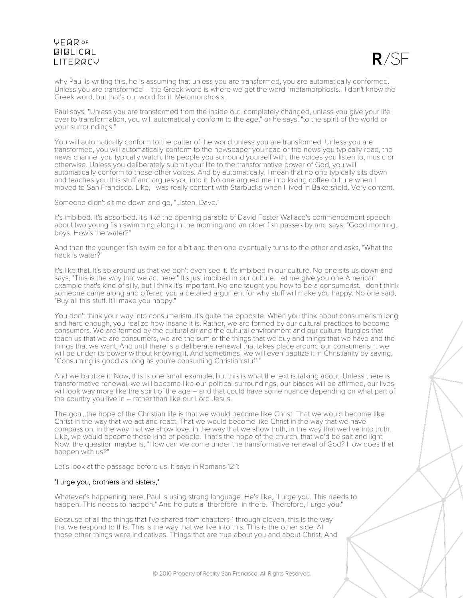

why Paul is writing this, he is assuming that unless you are transformed, you are automatically conformed. Unless you are transformed – the Greek word is where we get the word "metamorphosis." I don't know the Greek word, but that's our word for it. Metamorphosis.

Paul says, "Unless you are transformed from the inside out, completely changed, unless you give your life over to transformation, you will automatically conform to the age," or he says, "to the spirit of the world or your surroundings."

You will automatically conform to the patter of the world unless you are transformed. Unless you are transformed, you will automatically conform to the newspaper you read or the news you typically read, the news channel you typically watch, the people you surround yourself with, the voices you listen to, music or otherwise. Unless you deliberately submit your life to the transformative power of God, you will automatically conform to these other voices. And by automatically, I mean that no one typically sits down and teaches you this stuff and argues you into it. No one argued me into loving coffee culture when I moved to San Francisco. Like, I was really content with Starbucks when I lived in Bakersfield. Very content.

Someone didn't sit me down and go, "Listen, Dave."

It's imbibed. It's absorbed. It's like the opening parable of David Foster Wallace's commencement speech about two young fish swimming along in the morning and an older fish passes by and says, "Good morning, boys. How's the water?"

And then the younger fish swim on for a bit and then one eventually turns to the other and asks, "What the heck is water?"

It's like that. It's so around us that we don't even see it. It's imbibed in our culture. No one sits us down and says, "This is the way that we act here." It's just imbibed in our culture. Let me give you one American example that's kind of silly, but I think it's important. No one taught you how to be a consumerist. I don't think someone came along and offered you a detailed argument for why stuff will make you happy. No one said, "Buy all this stuff. It'll make you happy."

You don't think your way into consumerism. It's quite the opposite. When you think about consumerism long and hard enough, you realize how insane it is. Rather, we are formed by our cultural practices to become consumers. We are formed by the cultural air and the cultural environment and our cultural liturgies that teach us that we are consumers, we are the sum of the things that we buy and things that we have and the things that we want. And until there is a deliberate renewal that takes place around our consumerism, we will be under its power without knowing it. And sometimes, we will even baptize it in Christianity by saying, "Consuming is good as long as you're consuming Christian stuff."

And we baptize it. Now, this is one small example, but this is what the text is talking about. Unless there is transformative renewal, we will become like our political surroundings, our biases will be affirmed, our lives will look way more like the spirit of the age – and that could have some nuance depending on what part of the country you live in – rather than like our Lord Jesus.

The goal, the hope of the Christian life is that we would become like Christ. That we would become like Christ in the way that we act and react. That we would become like Christ in the way that we have compassion, in the way that we show love, in the way that we show truth, in the way that we live into truth. Like, we would become these kind of people. That's the hope of the church, that we'd be salt and light. Now, the question maybe is, "How can we come under the transformative renewal of God? How does that happen with us?"

Let's look at the passage before us. It says in Romans 12:1:

### "I urge you, brothers and sisters,"

Whatever's happening here, Paul is using strong language. He's like, "I urge you. This needs to happen. This needs to happen." And he puts a "therefore" in there. "Therefore, I urge you."

Because of all the things that I've shared from chapters 1 through eleven, this is the way that we respond to this. This is the way that we live into this. This is the other side. All those other things were indicatives. Things that are true about you and about Christ. And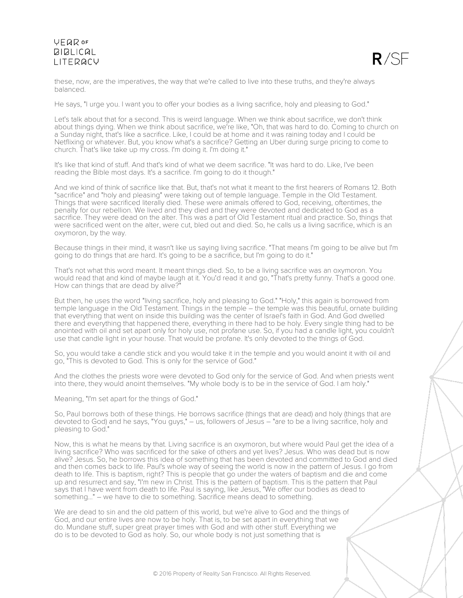

these, now, are the imperatives, the way that we're called to live into these truths, and they're always balanced.

He says, "I urge you. I want you to offer your bodies as a living sacrifice, holy and pleasing to God."

Let's talk about that for a second. This is weird language. When we think about sacrifice, we don't think about things dying. When we think about sacrifice, we're like, "Oh, that was hard to do. Coming to church on a Sunday night, that's like a sacrifice. Like, I could be at home and it was raining today and I could be Netflixing or whatever. But, you know what's a sacrifice? Getting an Uber during surge pricing to come to church. That's like take up my cross. I'm doing it. I'm doing it."

It's like that kind of stuff. And that's kind of what we deem sacrifice. "It was hard to do. Like, I've been reading the Bible most days. It's a sacrifice. I'm going to do it though."

And we kind of think of sacrifice like that. But, that's not what it meant to the first hearers of Romans 12. Both "sacrifice" and "holy and pleasing" were taking out of temple language. Temple in the Old Testament. Things that were sacrificed literally died. These were animals offered to God, receiving, oftentimes, the penalty for our rebellion. We lived and they died and they were devoted and dedicated to God as a sacrifice. They were dead on the alter. This was a part of Old Testament ritual and practice. So, things that were sacrificed went on the alter, were cut, bled out and died. So, he calls us a living sacrifice, which is an oxymoron, by the way.

Because things in their mind, it wasn't like us saying living sacrifice. "That means I'm going to be alive but I'm going to do things that are hard. It's going to be a sacrifice, but I'm going to do it."

That's not what this word meant. It meant things died. So, to be a living sacrifice was an oxymoron. You would read that and kind of maybe laugh at it. You'd read it and go, "That's pretty funny. That's a good one. How can things that are dead by alive?"

But then, he uses the word "living sacrifice, holy and pleasing to God." "Holy," this again is borrowed from temple language in the Old Testament. Things in the temple – the temple was this beautiful, ornate building that everything that went on inside this building was the center of Israel's faith in God. And God dwelled there and everything that happened there, everything in there had to be holy. Every single thing had to be anointed with oil and set apart only for holy use, not profane use. So, if you had a candle light, you couldn't use that candle light in your house. That would be profane. It's only devoted to the things of God.

So, you would take a candle stick and you would take it in the temple and you would anoint it with oil and go, "This is devoted to God. This is only for the service of God."

And the clothes the priests wore were devoted to God only for the service of God. And when priests went into there, they would anoint themselves. "My whole body is to be in the service of God. I am holy."

Meaning, "I'm set apart for the things of God."

So, Paul borrows both of these things. He borrows sacrifice (things that are dead) and holy (things that are devoted to God) and he says, "You guys," – us, followers of Jesus – "are to be a living sacrifice, holy and pleasing to God."

Now, this is what he means by that. Living sacrifice is an oxymoron, but where would Paul get the idea of a living sacrifice? Who was sacrificed for the sake of others and yet lives? Jesus. Who was dead but is now alive? Jesus. So, he borrows this idea of something that has been devoted and committed to God and died and then comes back to life. Paul's whole way of seeing the world is now in the pattern of Jesus. I go from death to life. This is baptism, right? This is people that go under the waters of baptism and die and come up and resurrect and say, "I'm new in Christ. This is the pattern of baptism. This is the pattern that Paul says that I have went from death to life. Paul is saying, like Jesus, "We offer our bodies as dead to something..." – we have to die to something. Sacrifice means dead to something.

We are dead to sin and the old pattern of this world, but we're alive to God and the things of God, and our entire lives are now to be holy. That is, to be set apart in everything that we do. Mundane stuff, super great prayer times with God and with other stuff. Everything we do is to be devoted to God as holy. So, our whole body is not just something that is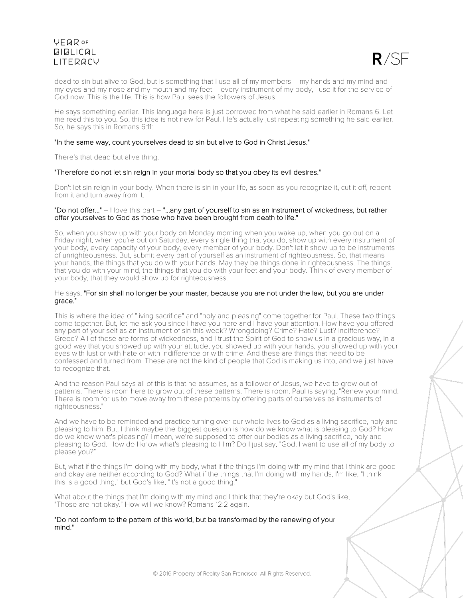

dead to sin but alive to God, but is something that I use all of my members – my hands and my mind and my eyes and my nose and my mouth and my feet – every instrument of my body, I use it for the service of God now. This is the life. This is how Paul sees the followers of Jesus.

He says something earlier. This language here is just borrowed from what he said earlier in Romans 6. Let me read this to you. So, this idea is not new for Paul. He's actually just repeating something he said earlier. So, he says this in Romans 6:11:

#### "In the same way, count yourselves dead to sin but alive to God in Christ Jesus."

There's that dead but alive thing.

#### "Therefore do not let sin reign in your mortal body so that you obey its evil desires."

Don't let sin reign in your body. When there is sin in your life, as soon as you recognize it, cut it off, repent from it and turn away from it.

#### "Do not offer..." – I love this part – "...any part of yourself to sin as an instrument of wickedness, but rather offer yourselves to God as those who have been brought from death to life."

So, when you show up with your body on Monday morning when you wake up, when you go out on a Friday night, when you're out on Saturday, every single thing that you do, show up with every instrument of your body, every capacity of your body, every member of your body. Don't let it show up to be instruments of unrighteousness. But, submit every part of yourself as an instrument of righteousness. So, that means your hands, the things that you do with your hands. May they be things done in righteousness. The things that you do with your mind, the things that you do with your feet and your body. Think of every member of your body, that they would show up for righteousness.

#### He says, "For sin shall no longer be your master, because you are not under the law, but you are under grace."

This is where the idea of "living sacrifice" and "holy and pleasing" come together for Paul. These two things come together. But, let me ask you since I have you here and I have your attention. How have you offered any part of your self as an instrument of sin this week? Wrongdoing? Crime? Hate? Lust? Indifference? Greed? All of these are forms of wickedness, and I trust the Spirit of God to show us in a gracious way, in a good way that you showed up with your attitude, you showed up with your hands, you showed up with your eyes with lust or with hate or with indifference or with crime. And these are things that need to be confessed and turned from. These are not the kind of people that God is making us into, and we just have to recognize that.

And the reason Paul says all of this is that he assumes, as a follower of Jesus, we have to grow out of patterns. There is room here to grow out of these patterns. There is room. Paul is saying, "Renew your mind. There is room for us to move away from these patterns by offering parts of ourselves as instruments of righteousness."

And we have to be reminded and practice turning over our whole lives to God as a living sacrifice, holy and pleasing to him. But, I think maybe the biggest question is how do we know what is pleasing to God? How do we know what's pleasing? I mean, we're supposed to offer our bodies as a living sacrifice, holy and pleasing to God. How do I know what's pleasing to Him? Do I just say, "God, I want to use all of my body to please you?"

But, what if the things I'm doing with my body, what if the things I'm doing with my mind that I think are good and okay are neither according to God? What if the things that I'm doing with my hands, I'm like, "I think this is a good thing," but God's like, "It's not a good thing."

What about the things that I'm doing with my mind and I think that they're okay but God's like, "Those are not okay." How will we know? Romans 12:2 again.

"Do not conform to the pattern of this world, but be transformed by the renewing of your mind."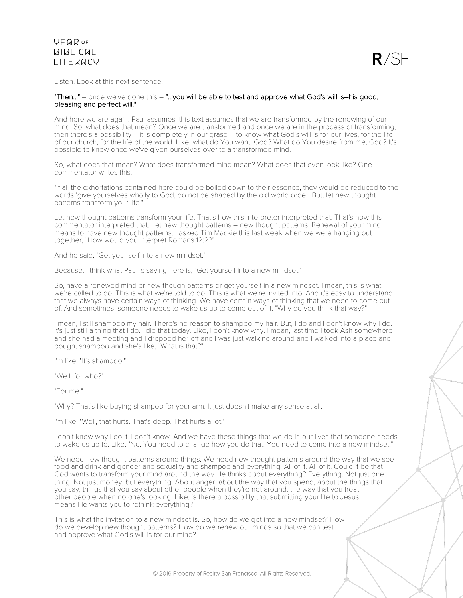

Listen. Look at this next sentence.

### "Then..." – once we've done this – "...you will be able to test and approve what God's will is-his good, pleasing and perfect will."

And here we are again. Paul assumes, this text assumes that we are transformed by the renewing of our mind. So, what does that mean? Once we are transformed and once we are in the process of transforming, then there's a possibility – it is completely in our grasp – to know what God's will is for our lives, for the life of our church, for the life of the world. Like, what do You want, God? What do You desire from me, God? It's possible to know once we've given ourselves over to a transformed mind.

So, what does that mean? What does transformed mind mean? What does that even look like? One commentator writes this:

"If all the exhortations contained here could be boiled down to their essence, they would be reduced to the words 'give yourselves wholly to God, do not be shaped by the old world order. But, let new thought patterns transform your life."

Let new thought patterns transform your life. That's how this interpreter interpreted that. That's how this commentator interpreted that. Let new thought patterns – new thought patterns. Renewal of your mind means to have new thought patterns. I asked Tim Mackie this last week when we were hanging out together, "How would you interpret Romans 12:2?"

And he said, "Get your self into a new mindset."

Because, I think what Paul is saying here is, "Get yourself into a new mindset."

So, have a renewed mind or new though patterns or get yourself in a new mindset. I mean, this is what we're called to do. This is what we're told to do. This is what we're invited into. And it's easy to understand that we always have certain ways of thinking. We have certain ways of thinking that we need to come out of. And sometimes, someone needs to wake us up to come out of it. "Why do you think that way?"

I mean, I still shampoo my hair. There's no reason to shampoo my hair. But, I do and I don't know why I do. It's just still a thing that I do. I did that today. Like, I don't know why. I mean, last time I took Ash somewhere and she had a meeting and I dropped her off and I was just walking around and I walked into a place and bought shampoo and she's like, "What is that?"

I'm like, "It's shampoo."

"Well, for who?"

"For me."

"Why? That's like buying shampoo for your arm. It just doesn't make any sense at all."

I'm like, "Well, that hurts. That's deep. That hurts a lot."

I don't know why I do it. I don't know. And we have these things that we do in our lives that someone needs to wake us up to. Like, "No. You need to change how you do that. You need to come into a new mindset."

We need new thought patterns around things. We need new thought patterns around the way that we see food and drink and gender and sexuality and shampoo and everything. All of it. All of it. Could it be that God wants to transform your mind around the way He thinks about everything? Everything. Not just one thing. Not just money, but everything. About anger, about the way that you spend, about the things that you say, things that you say about other people when they're not around, the way that you treat other people when no one's looking. Like, is there a possibility that submitting your life to Jesus means He wants you to rethink everything?

This is what the invitation to a new mindset is. So, how do we get into a new mindset? How do we develop new thought patterns? How do we renew our minds so that we can test and approve what God's will is for our mind?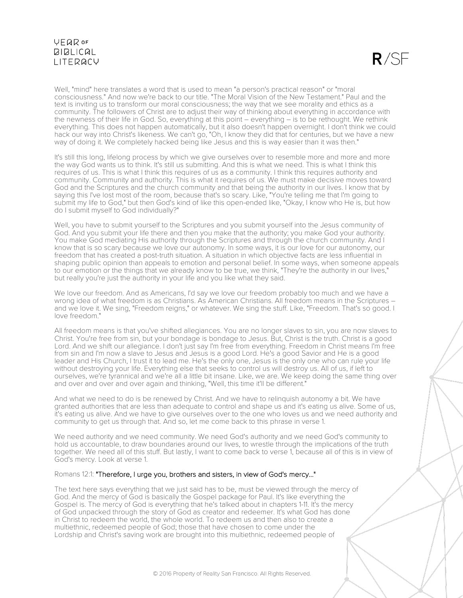$R/SF$ 

Well, "mind" here translates a word that is used to mean "a person's practical reason" or "moral consciousness." And now we're back to our title. "The Moral Vision of the New Testament." Paul and the text is inviting us to transform our moral consciousness; the way that we see morality and ethics as a community. The followers of Christ are to adjust their way of thinking about everything in accordance with the newness of their life in God. So, everything at this point – everything – is to be rethought. We rethink everything. This does not happen automatically, but it also doesn't happen overnight. I don't think we could hack our way into Christ's likeness. We can't go, "Oh, I know they did that for centuries, but we have a new way of doing it. We completely hacked being like Jesus and this is way easier than it was then."

It's still this long, lifelong process by which we give ourselves over to resemble more and more and more the way God wants us to think. It's still us submitting. And this is what we need. This is what I think this requires of us. This is what I think this requires of us as a community. I think this requires authority and community. Community and authority. This is what it requires of us. We must make decisive moves toward God and the Scriptures and the church community and that being the authority in our lives. I know that by saying this I've lost most of the room, because that's so scary. Like, "You're telling me that I'm going to submit my life to God," but then God's kind of like this open-ended like, "Okay, I know who He is, but how do I submit myself to God individually?"

Well, you have to submit yourself to the Scriptures and you submit yourself into the Jesus community of God. And you submit your life there and then you make that the authority; you make God your authority. You make God mediating His authority through the Scriptures and through the church community. And I know that is so scary because we love our autonomy. In some ways, it is our love for our autonomy, our freedom that has created a post-truth situation. A situation in which objective facts are less influential in shaping public opinion than appeals to emotion and personal belief. In some ways, when someone appeals to our emotion or the things that we already know to be true, we think, "They're the authority in our lives," but really you're just the authority in your life and you like what they said.

We love our freedom. And as Americans, I'd say we love our freedom probably too much and we have a wrong idea of what freedom is as Christians. As American Christians. All freedom means in the Scriptures –<br>and we love it. We sing, "Freedom reigns," or whatever. We sing the stuff. Like, "Freedom. That's so good. I love freedom."

All freedom means is that you've shifted allegiances. You are no longer slaves to sin, you are now slaves to Christ. You're free from sin, but your bondage is bondage to Jesus. But, Christ is the truth. Christ is a good Lord. And we shift our allegiance. I don't just say I'm free from everything. Freedom in Christ means I'm free from sin and I'm now a slave to Jesus and Jesus is a good Lord. He's a good Savior and He is a good leader and His Church, I trust it to lead me. He's the only one, Jesus is the only one who can rule your life without destroying your life. Everything else that seeks to control us will destroy us. All of us, if left to ourselves, we're tyrannical and we're all a little bit insane. Like, we are. We keep doing the same thing over and over and over and over again and thinking, "Well, this time it'll be different."

And what we need to do is be renewed by Christ. And we have to relinquish autonomy a bit. We have granted authorities that are less than adequate to control and shape us and it's eating us alive. Some of us, it's eating us alive. And we have to give ourselves over to the one who loves us and we need authority and community to get us through that. And so, let me come back to this phrase in verse 1.

We need authority and we need community. We need God's authority and we need God's community to hold us accountable, to draw boundaries around our lives, to wrestle through the implications of the truth together. We need all of this stuff. But lastly, I want to come back to verse 1, because all of this is in view of God's mercy. Look at verse 1.

### Romans 12:1: "Therefore, I urge you, brothers and sisters, in view of God's mercy..."

The text here says everything that we just said has to be, must be viewed through the mercy of God. And the mercy of God is basically the Gospel package for Paul. It's like everything the Gospel is. The mercy of God is everything that he's talked about in chapters 1-11. It's the mercy of God unpacked through the story of God as creator and redeemer. It's what God has done in Christ to redeem the world, the whole world. To redeem us and then also to create a multiethnic, redeemed people of God; those that have chosen to come under the Lordship and Christ's saving work are brought into this multiethnic, redeemed people of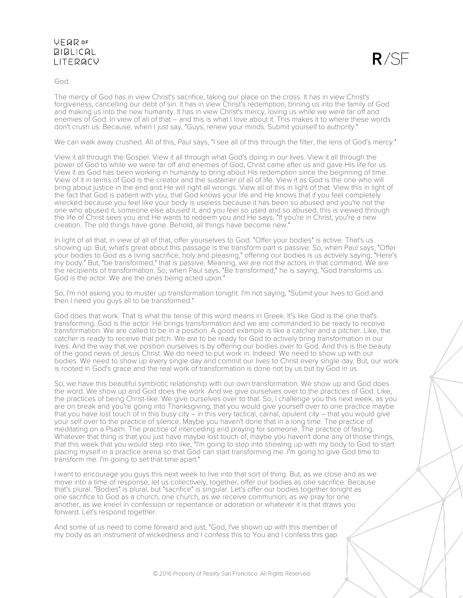$R/SF$ 

God.

The mercy of God has in view Christ's sacrifice, taking our place on the cross. It has in view Christ's forgiveness, cancelling our debt of sin. It has in view Christ's redemption, brining us into the family of God and making us into the new humanity. It has in view Christ's mercy, loving us while we were far off and enemies of God. In view of all of that – and this is what I love about it. This makes it to where these words don't crush us. Because, when I just say, "Guys, renew your minds. Submit yourself to authority."

We can walk away crushed. All of this, Paul says, "I see all of this through the filter, the lens of God's mercy."

View it all through the Gospel. View it all through what God's doing in our lives. View it all through the power of God to while we were far off and enemies of God, Christ came after us and gave His life for us. View it as God has been working in humanity to bring about His redemption since the beginning of time. View of it in terms of God is the creator and the sustainer of all of life. View it as God is the one who will bring about justice in the end and He will right all wrongs. View all of this in light of that. View this in light of the fact that God is patient with you, that God knows your life and He knows that if you feel completely wrecked because you feel like your body is useless because it has been so abused and you're not the one who abused it, someone else abused it, and you feel so used and so abused, this is viewed through the life of Christ sees you and He wants to redeem you and He says, "If you're in Christ, you're a new creation. The old things have gone. Behold, all things have become new."

In light of all that, in view of all of that, offer yourselves to God. "Offer your bodies" is active. That's us showing up. But, what's great about this passage is the transform part is passive. So, when Paul says, "Offer your bodies to God as a living sacrifice, holy and pleasing," offering our bodies is us actively saying, "Here's my body." But, "be transformed," that is passive. Meaning, we are not the actors in that command. We are the recipients of transformation. So, when Paul says, "Be transformed," he is saying, "God transforms us. God is the actor. We are the ones being acted upon.

So, I'm not asking you to muster up transformation tonight. I'm not saying, "Submit your lives to God and then I need you guys all to be transformed."

God does that work. That is what the tense of this word means in Greek. It's like God is the one that's transforming. God is the actor. He brings transformation and we are commanded to be ready to receive transformation. We are called to be in a position. A good example is like a catcher and a pitcher. Like, the catcher is ready to receive that pitch. We are to be ready for God to actively bring transformation in our lives. And the way that we position ourselves is by offering our bodies over to God. And this is the beauty of the good news of Jesus Christ. We do need to put work in. Indeed. We need to show up with our bodies. We need to show up every single day and commit our lives to Christ every single day. But, our work is rooted in God's grace and the real work of transformation is done not by us but by God in us.

So, we have this beautiful symbiotic relationship with our own transformation. We show up and God does the word. We show up and God does the work. And we give ourselves over to the practices of God. Like, the practices of being Christ-like. We give ourselves over to that. So, I challenge you this next week, as you are on break and you're going into Thanksgiving, that you would give yourself over to one practice maybe that you have lost touch of in this busy city – in this very tactical, carnal, opulent city – that you would give your self over to the practice of silence. Maybe you haven't done that in a long time. The practice of meditating on a Psalm. The practice of interceding and praying for someone. The practice of fasting. Whatever that thing is that you just have maybe lost touch of, maybe you haven't done any of those things, that this week that you would step into like, "I'm going to step into showing up with my body to God to start placing myself in a practice arena so that God can start transforming me. I'm going to give God time to transform me. I'm going to set that time apart."

I want to encourage you guys this next week to live into that sort of thing. But, as we close and as we move into a time of response, let us collectively, together, offer our bodies as one sacrifice. Because that's plural. "Bodies" is plural, but "sacrifice" is singular. Let's offer our bodies together tonight as one sacrifice to God as a church, one church, as we receive communion, as we pray for one another, as we kneel in confession or repentance or adoration or whatever it is that draws you forward. Let's respond together.

And some of us need to come forward and just, "God, I've shown up with this member of my body as an instrument of wickedness and I confess this to You and I confess this gap